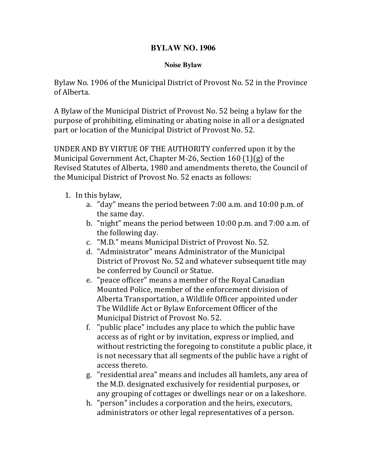## **BYLAW NO. 1906**

## **Noise Bylaw**

Bylaw No. 1906 of the Municipal District of Provost No. 52 in the Province of Alberta.

A Bylaw of the Municipal District of Provost No. 52 being a bylaw for the purpose of prohibiting, eliminating or abating noise in all or a designated part or location of the Municipal District of Provost No. 52.

UNDER AND BY VIRTUE OF THE AUTHORITY conferred upon it by the Municipal Government Act, Chapter M-26, Section  $160$  (1)(g) of the Revised Statutes of Alberta, 1980 and amendments thereto, the Council of the Municipal District of Provost No. 52 enacts as follows:

- 1. In this bylaw,
	- a. "day" means the period between  $7:00$  a.m. and  $10:00$  p.m. of the same day.
	- b. "night" means the period between  $10:00$  p.m. and  $7:00$  a.m. of the following day.
	- c. "M.D." means Municipal District of Provost No. 52.
	- d. "Administrator" means Administrator of the Municipal District of Provost No. 52 and whatever subsequent title may be conferred by Council or Statue.
	- e. "peace officer" means a member of the Royal Canadian Mounted Police, member of the enforcement division of Alberta Transportation, a Wildlife Officer appointed under The Wildlife Act or Bylaw Enforcement Officer of the Municipal District of Provost No. 52.
	- f. "public place" includes any place to which the public have access as of right or by invitation, express or implied, and without restricting the foregoing to constitute a public place, it is not necessary that all segments of the public have a right of access thereto.
	- g. "residential area" means and includes all hamlets, any area of the M.D. designated exclusively for residential purposes, or any grouping of cottages or dwellings near or on a lakeshore.
	- h. "person" includes a corporation and the heirs, executors, administrators or other legal representatives of a person.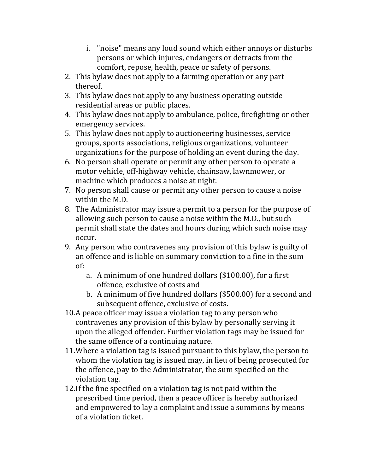- i. "noise" means any loud sound which either annoys or disturbs persons or which injures, endangers or detracts from the comfort, repose, health, peace or safety of persons.
- 2. This bylaw does not apply to a farming operation or any part thereof.
- 3. This bylaw does not apply to any business operating outside residential areas or public places.
- 4. This bylaw does not apply to ambulance, police, firefighting or other emergency services.
- 5. This bylaw does not apply to auctioneering businesses, service groups, sports associations, religious organizations, volunteer organizations for the purpose of holding an event during the day.
- 6. No person shall operate or permit any other person to operate a motor vehicle, off-highway vehicle, chainsaw, lawnmower, or machine which produces a noise at night.
- 7. No person shall cause or permit any other person to cause a noise within the M.D.
- 8. The Administrator may issue a permit to a person for the purpose of allowing such person to cause a noise within the M.D., but such permit shall state the dates and hours during which such noise may occur.
- 9. Any person who contravenes any provision of this bylaw is guilty of an offence and is liable on summary conviction to a fine in the sum of:
	- a. A minimum of one hundred dollars (\$100.00), for a first offence, exclusive of costs and
	- b. A minimum of five hundred dollars (\$500.00) for a second and subsequent offence, exclusive of costs.
- 10.A peace officer may issue a violation tag to any person who contravenes any provision of this bylaw by personally serving it upon the alleged offender. Further violation tags may be issued for the same offence of a continuing nature.
- 11. Where a violation tag is issued pursuant to this bylaw, the person to whom the violation tag is issued may, in lieu of being prosecuted for the offence, pay to the Administrator, the sum specified on the violation tag.
- 12. If the fine specified on a violation tag is not paid within the prescribed time period, then a peace officer is hereby authorized and empowered to lay a complaint and issue a summons by means of a violation ticket.